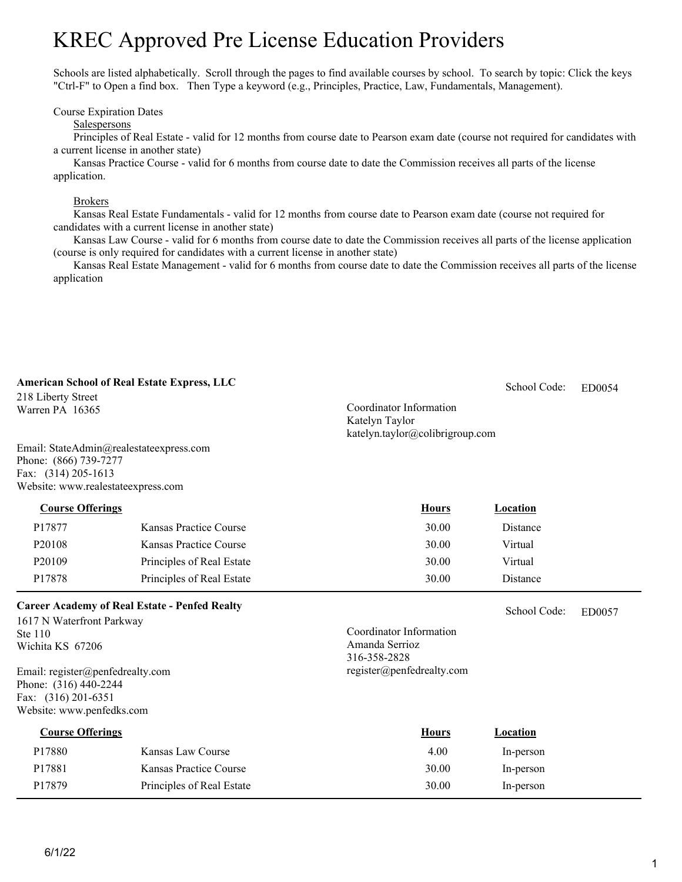# KREC Approved Pre License Education Providers

Schools are listed alphabetically. Scroll through the pages to find available courses by school. To search by topic: Click the keys "Ctrl-F" to Open a find box. Then Type a keyword (e.g., Principles, Practice, Law, Fundamentals, Management).

Course Expiration Dates

#### Salespersons

Principles of Real Estate - valid for 12 months from course date to Pearson exam date (course not required for candidates with a current license in another state)

Kansas Practice Course - valid for 6 months from course date to date the Commission receives all parts of the license application.

#### Brokers

Kansas Real Estate Fundamentals - valid for 12 months from course date to Pearson exam date (course not required for candidates with a current license in another state)

Kansas Law Course - valid for 6 months from course date to date the Commission receives all parts of the license application (course is only required for candidates with a current license in another state)

Kansas Real Estate Management - valid for 6 months from course date to date the Commission receives all parts of the license application

| <b>American School of Real Estate Express, LLC</b><br>218 Liberty Street<br>Warren PA 16365<br>Email: StateAdmin@realestateexpress.com<br>Phone: (866) 739-7277<br>Fax: (314) 205-1613<br>Website: www.realestateexpress.com      |                           | Coordinator Information<br>Katelyn Taylor<br>katelyn.taylor@colibrigroup.com           | School Code: | ED0054 |
|-----------------------------------------------------------------------------------------------------------------------------------------------------------------------------------------------------------------------------------|---------------------------|----------------------------------------------------------------------------------------|--------------|--------|
| <b>Course Offerings</b>                                                                                                                                                                                                           |                           | <b>Hours</b>                                                                           | Location     |        |
| P17877                                                                                                                                                                                                                            | Kansas Practice Course    | 30.00                                                                                  | Distance     |        |
| P <sub>20108</sub>                                                                                                                                                                                                                | Kansas Practice Course    | 30.00                                                                                  | Virtual      |        |
| P20109                                                                                                                                                                                                                            | Principles of Real Estate | 30.00                                                                                  | Virtual      |        |
| P17878                                                                                                                                                                                                                            | Principles of Real Estate | 30.00                                                                                  | Distance     |        |
| <b>Career Academy of Real Estate - Penfed Realty</b><br>1617 N Waterfront Parkway<br>Ste 110<br>Wichita KS 67206<br>Email: register@penfedrealty.com<br>Phone: (316) 440-2244<br>Fax: (316) 201-6351<br>Website: www.penfedks.com |                           | Coordinator Information<br>Amanda Serrioz<br>316-358-2828<br>register@penfedrealty.com | School Code: | ED0057 |
| <b>Course Offerings</b>                                                                                                                                                                                                           |                           | <b>Hours</b>                                                                           | Location     |        |
| P17880                                                                                                                                                                                                                            | Kansas Law Course         | 4.00                                                                                   | In-person    |        |
| P17881                                                                                                                                                                                                                            | Kansas Practice Course    | 30.00                                                                                  | In-person    |        |
| P17879                                                                                                                                                                                                                            | Principles of Real Estate | 30.00                                                                                  | In-person    |        |
|                                                                                                                                                                                                                                   |                           |                                                                                        |              |        |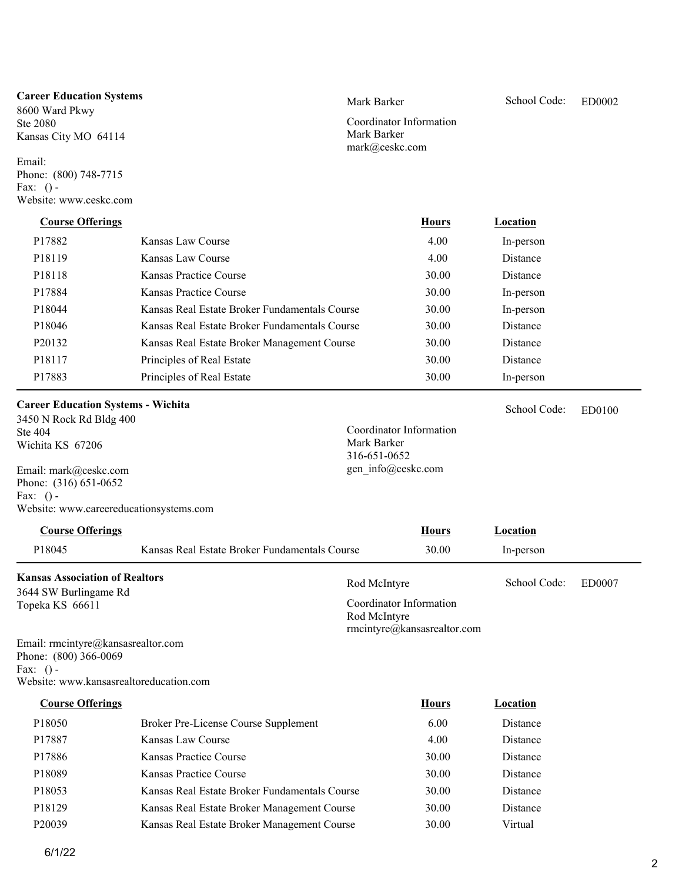#### **Career Education Systems**

8600 Ward Pkwy Ste 2080 Kansas City MO 64114

Email: Phone: (800) 748-7715 Fax:  $()$  -Website: www.ceskc.com

ED0100

School Code:

Coordinator Information Mark Barker mark@ceskc.com

| <b>Course Offerings</b> |                                               | <b>Hours</b> | Location  |  |
|-------------------------|-----------------------------------------------|--------------|-----------|--|
| P17882                  | Kansas Law Course                             | 4.00         | In-person |  |
| P <sub>18119</sub>      | Kansas Law Course                             | 4.00         | Distance  |  |
| P <sub>18118</sub>      | Kansas Practice Course                        | 30.00        | Distance  |  |
| P17884                  | Kansas Practice Course                        | 30.00        | In-person |  |
| P18044                  | Kansas Real Estate Broker Fundamentals Course | 30.00        | In-person |  |
| P18046                  | Kansas Real Estate Broker Fundamentals Course | 30.00        | Distance  |  |
| P <sub>20132</sub>      | Kansas Real Estate Broker Management Course   | 30.00        | Distance  |  |
| P18117                  | Principles of Real Estate                     | 30.00        | Distance  |  |
| P17883                  | Principles of Real Estate                     | 30.00        | In-person |  |

### **Career Education Systems - Wichita**

3450 N Rock Rd Bldg 400 Ste 404 Wichita KS 67206

Email: mark@ceskc.com Phone: (316) 651-0652 Fax:  $()$  -Website: www.careereducationsystems.com

## P18045 Kansas Real Estate Broker Fundamentals Course 30.00 In-person Rod McIntyre School Code: ED0007 **Kansas Association of Realtors Course Offerings Course Offerings Hours Location** School Code:

3644 SW Burlingame Rd Topeka KS 66611

Coordinator Information Rod McIntyre rmcintyre@kansasrealtor.com

Coordinator Information

Mark Barker 316-651-0652 gen\_info@ceskc.com

Email: rmcintyre@kansasrealtor.com Phone: (800) 366-0069 Fax:  $() -$ Website: www.kansasrealtoreducation.com

| <b>Course Offerings</b> |                                               | <b>Hours</b> | Location |
|-------------------------|-----------------------------------------------|--------------|----------|
| P <sub>18050</sub>      | Broker Pre-License Course Supplement          | 6.00         | Distance |
| P17887                  | Kansas Law Course                             | 4.00         | Distance |
| P17886                  | Kansas Practice Course                        | 30.00        | Distance |
| P18089                  | Kansas Practice Course                        | 30.00        | Distance |
| P18053                  | Kansas Real Estate Broker Fundamentals Course | 30.00        | Distance |
| P18129                  | Kansas Real Estate Broker Management Course   | 30.00        | Distance |
| P <sub>20039</sub>      | Kansas Real Estate Broker Management Course   | 30.00        | Virtual  |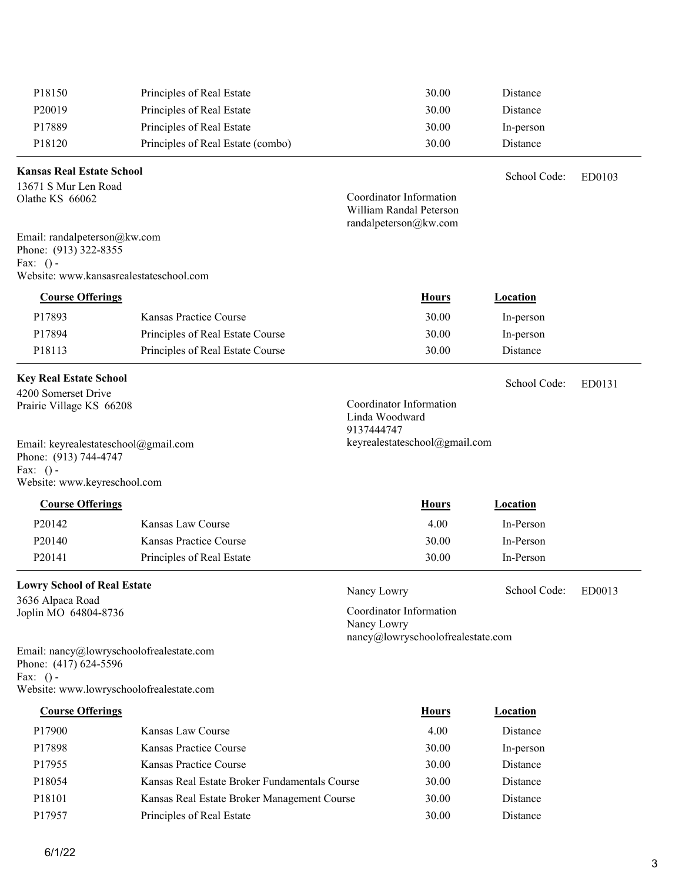| P18150                                                                                                                       | Principles of Real Estate                     |                              | 30.00                                                                       | Distance        |        |
|------------------------------------------------------------------------------------------------------------------------------|-----------------------------------------------|------------------------------|-----------------------------------------------------------------------------|-----------------|--------|
| P20019                                                                                                                       | Principles of Real Estate                     |                              | 30.00                                                                       | Distance        |        |
| P17889                                                                                                                       | Principles of Real Estate                     |                              | 30.00                                                                       | In-person       |        |
| P18120                                                                                                                       | Principles of Real Estate (combo)             |                              | 30.00                                                                       | Distance        |        |
| <b>Kansas Real Estate School</b>                                                                                             |                                               |                              |                                                                             | School Code:    | ED0103 |
| 13671 S Mur Len Road<br>Olathe KS 66062                                                                                      |                                               |                              | Coordinator Information<br>William Randal Peterson<br>randalpeterson@kw.com |                 |        |
| Email: randalpeterson@kw.com<br>Phone: (913) 322-8355<br>Fax: $()$ -<br>Website: www.kansasrealestateschool.com              |                                               |                              |                                                                             |                 |        |
|                                                                                                                              |                                               |                              |                                                                             |                 |        |
| <b>Course Offerings</b>                                                                                                      |                                               |                              | <b>Hours</b>                                                                | Location        |        |
| P17893                                                                                                                       | Kansas Practice Course                        |                              | 30.00                                                                       | In-person       |        |
| P17894                                                                                                                       | Principles of Real Estate Course              |                              | 30.00                                                                       | In-person       |        |
| P18113                                                                                                                       | Principles of Real Estate Course              |                              | 30.00                                                                       | Distance        |        |
| <b>Key Real Estate School</b>                                                                                                |                                               |                              |                                                                             | School Code:    | ED0131 |
| 4200 Somerset Drive<br>Prairie Village KS 66208                                                                              |                                               | Linda Woodward<br>9137444747 | Coordinator Information                                                     |                 |        |
| Email: keyrealestateschool@gmail.com<br>Phone: (913) 744-4747<br>Fax: $()$ -<br>Website: www.keyreschool.com                 |                                               |                              | keyrealestateschool@gmail.com                                               |                 |        |
| <b>Course Offerings</b>                                                                                                      |                                               |                              | <b>Hours</b>                                                                | Location        |        |
| P20142                                                                                                                       | Kansas Law Course                             |                              | 4.00                                                                        | In-Person       |        |
| P20140                                                                                                                       | Kansas Practice Course                        |                              | 30.00                                                                       | In-Person       |        |
|                                                                                                                              |                                               |                              |                                                                             | In-Person       |        |
| P <sub>20141</sub>                                                                                                           | Principles of Real Estate                     |                              | 30.00                                                                       |                 |        |
| <b>Lowry School of Real Estate</b>                                                                                           |                                               | Nancy Lowry                  |                                                                             | School Code:    | ED0013 |
| 3636 Alpaca Road<br>Joplin MO 64804-8736                                                                                     |                                               | Nancy Lowry                  | Coordinator Information<br>nancy@lowryschoolofrealestate.com                |                 |        |
| Email: nancy@lowryschoolofrealestate.com<br>Phone: (417) 624-5596<br>Fax: $()$ -<br>Website: www.lowryschoolofrealestate.com |                                               |                              |                                                                             |                 |        |
| <b>Course Offerings</b>                                                                                                      |                                               |                              | <b>Hours</b>                                                                | <b>Location</b> |        |
| P17900                                                                                                                       | Kansas Law Course                             |                              | 4.00                                                                        | Distance        |        |
| P17898                                                                                                                       | Kansas Practice Course                        |                              | 30.00                                                                       | In-person       |        |
| P17955                                                                                                                       | Kansas Practice Course                        |                              | 30.00                                                                       | Distance        |        |
| P18054                                                                                                                       | Kansas Real Estate Broker Fundamentals Course |                              | 30.00                                                                       | Distance        |        |
| P18101                                                                                                                       | Kansas Real Estate Broker Management Course   |                              | 30.00                                                                       | Distance        |        |

P17957 Principles of Real Estate 30.00 Distance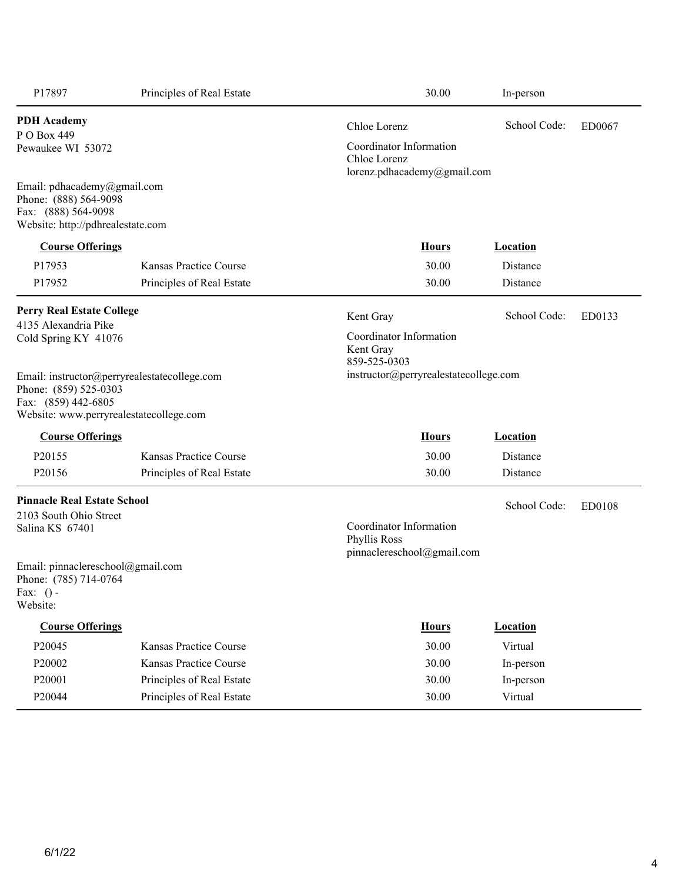| P17897                                                                                                           | Principles of Real Estate                                                               | 30.00                                                                  | In-person       |               |
|------------------------------------------------------------------------------------------------------------------|-----------------------------------------------------------------------------------------|------------------------------------------------------------------------|-----------------|---------------|
| <b>PDH</b> Academy<br>P O Box 449                                                                                |                                                                                         | Chloe Lorenz                                                           | School Code:    | ED0067        |
| Pewaukee WI 53072                                                                                                |                                                                                         | Coordinator Information<br>Chloe Lorenz<br>lorenz.pdhacademy@gmail.com |                 |               |
| Email: pdhacademy@gmail.com<br>Phone: (888) 564-9098<br>Fax: (888) 564-9098<br>Website: http://pdhrealestate.com |                                                                                         |                                                                        |                 |               |
| <b>Course Offerings</b>                                                                                          |                                                                                         | <b>Hours</b>                                                           | <b>Location</b> |               |
| P17953                                                                                                           | Kansas Practice Course                                                                  | 30.00                                                                  | Distance        |               |
| P17952                                                                                                           | Principles of Real Estate                                                               | 30.00                                                                  | Distance        |               |
| <b>Perry Real Estate College</b>                                                                                 |                                                                                         | Kent Gray                                                              | School Code:    | ED0133        |
| 4135 Alexandria Pike<br>Cold Spring KY 41076                                                                     |                                                                                         | Coordinator Information<br>Kent Gray<br>859-525-0303                   |                 |               |
| Phone: (859) 525-0303<br>Fax: (859) 442-6805                                                                     | Email: instructor@perryrealestatecollege.com<br>Website: www.perryrealestatecollege.com | instructor@perryrealestatecollege.com                                  |                 |               |
| <b>Course Offerings</b>                                                                                          |                                                                                         | <b>Hours</b>                                                           | <b>Location</b> |               |
| P20155                                                                                                           | Kansas Practice Course                                                                  | 30.00                                                                  | Distance        |               |
| P20156                                                                                                           | Principles of Real Estate                                                               | 30.00                                                                  | Distance        |               |
| <b>Pinnacle Real Estate School</b>                                                                               |                                                                                         |                                                                        | School Code:    | <b>ED0108</b> |
| 2103 South Ohio Street<br>Salina KS 67401                                                                        |                                                                                         | Coordinator Information<br>Phyllis Ross<br>pinnaclereschool@gmail.com  |                 |               |
| Email: pinnaclereschool@gmail.com<br>Phone: (785) 714-0764<br>Fax: $()$ -<br>Website:                            |                                                                                         |                                                                        |                 |               |
| <b>Course Offerings</b>                                                                                          |                                                                                         | <b>Hours</b>                                                           | <b>Location</b> |               |
| P20045                                                                                                           | Kansas Practice Course                                                                  | 30.00                                                                  | Virtual         |               |
| P20002                                                                                                           | Kansas Practice Course                                                                  | 30.00                                                                  | In-person       |               |
| P20001                                                                                                           | Principles of Real Estate                                                               | 30.00                                                                  | In-person       |               |
| P20044                                                                                                           | Principles of Real Estate                                                               | 30.00                                                                  | Virtual         |               |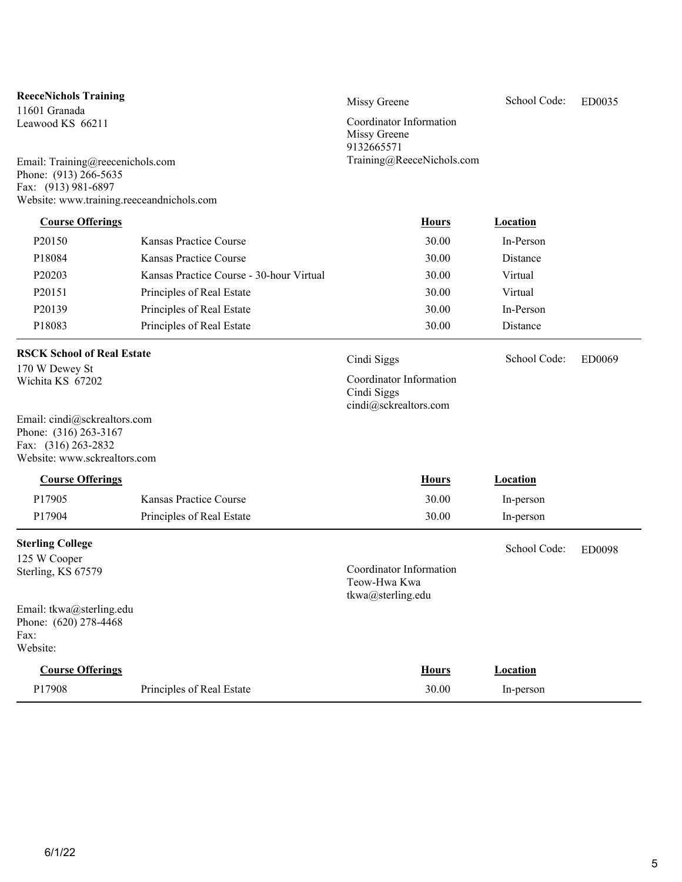| <b>ReeceNichols Training</b>                                                                                          |                                          | Missy Greene                                                    | School Code:    | ED0035        |
|-----------------------------------------------------------------------------------------------------------------------|------------------------------------------|-----------------------------------------------------------------|-----------------|---------------|
| 11601 Granada<br>Leawood KS 66211<br>Email: Training@reecenichols.com<br>Phone: (913) 266-5635<br>Fax: (913) 981-6897 |                                          | Coordinator Information<br>Missy Greene<br>9132665571           |                 |               |
|                                                                                                                       |                                          | Training@ReeceNichols.com                                       |                 |               |
| Website: www.training.reeceandnichols.com                                                                             |                                          |                                                                 |                 |               |
| <b>Course Offerings</b>                                                                                               |                                          | <b>Hours</b>                                                    | <b>Location</b> |               |
| P <sub>20150</sub>                                                                                                    | Kansas Practice Course                   | 30.00                                                           | In-Person       |               |
| P18084                                                                                                                | Kansas Practice Course                   | 30.00                                                           | Distance        |               |
| P20203                                                                                                                | Kansas Practice Course - 30-hour Virtual | 30.00                                                           | Virtual         |               |
| P20151                                                                                                                | Principles of Real Estate                | 30.00                                                           | Virtual         |               |
| P20139                                                                                                                | Principles of Real Estate                | 30.00                                                           | In-Person       |               |
| P18083                                                                                                                | Principles of Real Estate                | 30.00                                                           | Distance        |               |
| <b>RSCK School of Real Estate</b>                                                                                     |                                          | Cindi Siggs                                                     | School Code:    | <b>ED0069</b> |
| 170 W Dewey St<br>Wichita KS 67202                                                                                    |                                          | Coordinator Information<br>Cindi Siggs<br>cindi@sckrealtors.com |                 |               |
| Email: cindi@sckrealtors.com<br>Phone: (316) 263-3167<br>Fax: (316) 263-2832<br>Website: www.sckrealtors.com          |                                          |                                                                 |                 |               |
| <b>Course Offerings</b>                                                                                               |                                          | <b>Hours</b>                                                    | <b>Location</b> |               |
| P17905                                                                                                                | Kansas Practice Course                   | 30.00                                                           | In-person       |               |
| P17904                                                                                                                | Principles of Real Estate                | 30.00                                                           | In-person       |               |
| <b>Sterling College</b>                                                                                               |                                          |                                                                 | School Code:    | ED0098        |
| 125 W Cooper<br>Sterling, KS 67579                                                                                    |                                          | Coordinator Information<br>Teow-Hwa Kwa<br>tkwa@sterling.edu    |                 |               |
| Email: tkwa@sterling.edu<br>Phone: (620) 278-4468<br>Fax:<br>Website:                                                 |                                          |                                                                 |                 |               |
| <b>Course Offerings</b>                                                                                               |                                          | <b>Hours</b>                                                    | Location        |               |
| P17908                                                                                                                | Principles of Real Estate                | 30.00                                                           | In-person       |               |